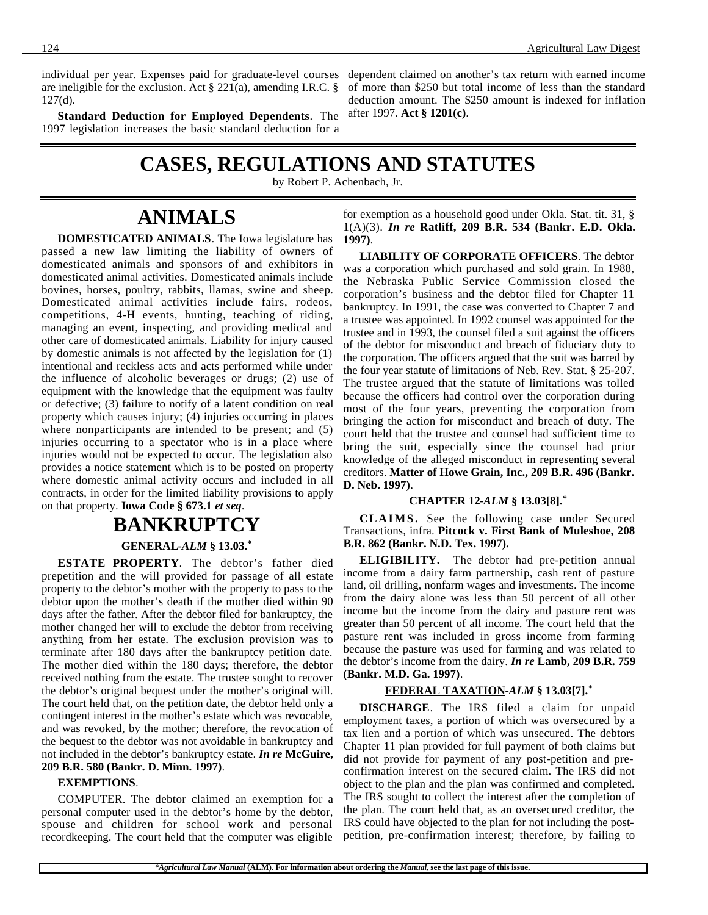individual per year. Expenses paid for graduate-level courses are ineligible for the exclusion. Act § 221(a), amending I.R.C. § 127(d).

**Standard Deduction for Employed Dependents**. The 1997 legislation increases the basic standard deduction for a

dependent claimed on another's tax return with earned income of more than \$250 but total income of less than the standard deduction amount. The \$250 amount is indexed for inflation after 1997. **Act § 1201(c)**.

## **CASES, REGULATIONS AND STATUTES**

by Robert P. Achenbach, Jr.

## **ANIMALS**

**DOMESTICATED ANIMALS**. The Iowa legislature has

passed a new law limiting the liability of owners of domesticated animals and sponsors of and exhibitors in domesticated animal activities. Domesticated animals include bovines, horses, poultry, rabbits, llamas, swine and sheep. Domesticated animal activities include fairs, rodeos, competitions, 4-H events, hunting, teaching of riding, managing an event, inspecting, and providing medical and other care of domesticated animals. Liability for injury caused by domestic animals is not affected by the legislation for (1) intentional and reckless acts and acts performed while under the influence of alcoholic beverages or drugs; (2) use of equipment with the knowledge that the equipment was faulty or defective; (3) failure to notify of a latent condition on real property which causes injury; (4) injuries occurring in places where nonparticipants are intended to be present; and (5) injuries occurring to a spectator who is in a place where injuries would not be expected to occur. The legislation also provides a notice statement which is to be posted on property where domestic animal activity occurs and included in all contracts, in order for the limited liability provisions to apply on that property. **Iowa Code § 673.1** *et seq*.

## **BANKRUPTCY**

 **GENERAL -***ALM* **§ 13.03.\***

**ESTATE PROPERTY**. The debtor's father died prepetition and the will provided for passage of all estate property to the debtor's mother with the property to pass to the debtor upon the mother's death if the mother died within 90 days after the father. After the debtor filed for bankruptcy, the mother changed her will to exclude the debtor from receiving anything from her estate. The exclusion provision was to terminate after 180 days after the bankruptcy petition date. The mother died within the 180 days; therefore, the debtor received nothing from the estate. The trustee sought to recover the debtor's original bequest under the mother's original will. The court held that, on the petition date, the debtor held only a contingent interest in the mother's estate which was revocable, and was revoked, by the mother; therefore, the revocation of the bequest to the debtor was not avoidable in bankruptcy and not included in the debtor's bankruptcy estate. *In re* **McGuire, 209 B.R. 580 (Bankr. D. Minn. 1997)**.

#### **EXEMPTIONS**.

COMPUTER. The debtor claimed an exemption for a personal computer used in the debtor's home by the debtor, spouse and children for school work and personal recordkeeping. The court held that the computer was eligible

for exemption as a household good under Okla. Stat. tit. 31, § 1(A)(3). *In re* **Ratliff, 209 B.R. 534 (Bankr. E.D. Okla. 1997)**.

**LIABILITY OF CORPORATE OFFICERS**. The debtor was a corporation which purchased and sold grain. In 1988, the Nebraska Public Service Commission closed the corporation's business and the debtor filed for Chapter 11 bankruptcy. In 1991, the case was converted to Chapter 7 and a trustee was appointed. In 1992 counsel was appointed for the trustee and in 1993, the counsel filed a suit against the officers of the debtor for misconduct and breach of fiduciary duty to the corporation. The officers argued that the suit was barred by the four year statute of limitations of Neb. Rev. Stat. § 25-207. The trustee argued that the statute of limitations was tolled because the officers had control over the corporation during most of the four years, preventing the corporation from bringing the action for misconduct and breach of duty. The court held that the trustee and counsel had sufficient time to bring the suit, especially since the counsel had prior knowledge of the alleged misconduct in representing several creditors. **Matter of Howe Grain, Inc., 209 B.R. 496 (Bankr. D. Neb. 1997)**.

#### **CHAPTER 12 -***ALM* **§ 13.03[8].\***

**CLAIMS.** See the following case under Secured Transactions, infra. **Pitcock v. First Bank of Muleshoe, 208 B.R. 862 (Bankr. N.D. Tex. 1997).**

**ELIGIBILITY.** The debtor had pre-petition annual income from a dairy farm partnership, cash rent of pasture land, oil drilling, nonfarm wages and investments. The income from the dairy alone was less than 50 percent of all other income but the income from the dairy and pasture rent was greater than 50 percent of all income. The court held that the pasture rent was included in gross income from farming because the pasture was used for farming and was related to the debtor's income from the dairy. *In re* **Lamb, 209 B.R. 759 (Bankr. M.D. Ga. 1997)**.

#### **FEDERAL TAXATION -***ALM* **§ 13.03[7].\***

**DISCHARGE**. The IRS filed a claim for unpaid employment taxes, a portion of which was oversecured by a tax lien and a portion of which was unsecured. The debtors Chapter 11 plan provided for full payment of both claims but did not provide for payment of any post-petition and preconfirmation interest on the secured claim. The IRS did not object to the plan and the plan was confirmed and completed. The IRS sought to collect the interest after the completion of the plan. The court held that, as an oversecured creditor, the IRS could have objected to the plan for not including the postpetition, pre-confirmation interest; therefore, by failing to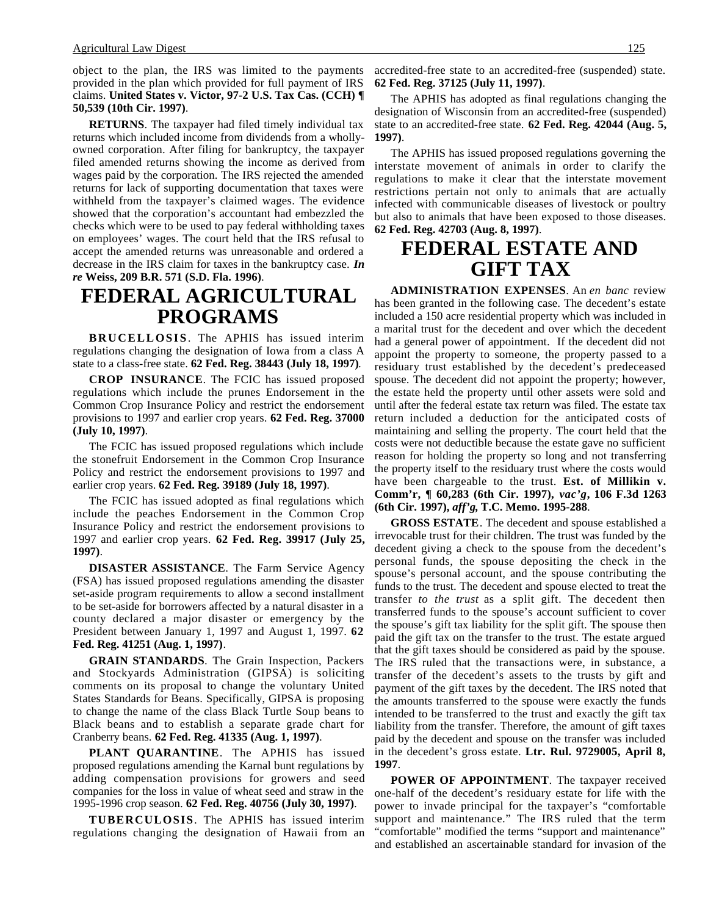object to the plan, the IRS was limited to the payments provided in the plan which provided for full payment of IRS claims. **United States v. Victor, 97-2 U.S. Tax Cas. (CCH) ¶ 50,539 (10th Cir. 1997)**.

**RETURNS**. The taxpayer had filed timely individual tax returns which included income from dividends from a whollyowned corporation. After filing for bankruptcy, the taxpayer filed amended returns showing the income as derived from wages paid by the corporation. The IRS rejected the amended returns for lack of supporting documentation that taxes were withheld from the taxpayer's claimed wages. The evidence showed that the corporation's accountant had embezzled the checks which were to be used to pay federal withholding taxes on employees' wages. The court held that the IRS refusal to accept the amended returns was unreasonable and ordered a decrease in the IRS claim for taxes in the bankruptcy case. *In re* **Weiss, 209 B.R. 571 (S.D. Fla. 1996)**.

## **FEDERAL AGRICULTURAL PROGRAMS**

**BRUCELLOSIS**. The APHIS has issued interim regulations changing the designation of Iowa from a class A state to a class-free state. **62 Fed. Reg. 38443 (July 18, 1997)**.

**CROP INSURANCE**. The FCIC has issued proposed regulations which include the prunes Endorsement in the Common Crop Insurance Policy and restrict the endorsement provisions to 1997 and earlier crop years. **62 Fed. Reg. 37000 (July 10, 1997)**.

The FCIC has issued proposed regulations which include the stonefruit Endorsement in the Common Crop Insurance Policy and restrict the endorsement provisions to 1997 and earlier crop years. **62 Fed. Reg. 39189 (July 18, 1997)**.

The FCIC has issued adopted as final regulations which include the peaches Endorsement in the Common Crop Insurance Policy and restrict the endorsement provisions to 1997 and earlier crop years. **62 Fed. Reg. 39917 (July 25, 1997)**.

**DISASTER ASSISTANCE**. The Farm Service Agency (FSA) has issued proposed regulations amending the disaster set-aside program requirements to allow a second installment to be set-aside for borrowers affected by a natural disaster in a county declared a major disaster or emergency by the President between January 1, 1997 and August 1, 1997. **62 Fed. Reg. 41251 (Aug. 1, 1997)**.

**GRAIN STANDARDS**. The Grain Inspection, Packers and Stockyards Administration (GIPSA) is soliciting comments on its proposal to change the voluntary United States Standards for Beans. Specifically, GIPSA is proposing to change the name of the class Black Turtle Soup beans to Black beans and to establish a separate grade chart for Cranberry beans. **62 Fed. Reg. 41335 (Aug. 1, 1997)**.

**PLANT QUARANTINE**. The APHIS has issued proposed regulations amending the Karnal bunt regulations by adding compensation provisions for growers and seed companies for the loss in value of wheat seed and straw in the 1995-1996 crop season. **62 Fed. Reg. 40756 (July 30, 1997)**.

**TUBERCULOSIS**. The APHIS has issued interim regulations changing the designation of Hawaii from an

accredited-free state to an accredited-free (suspended) state. **62 Fed. Reg. 37125 (July 11, 1997)**.

The APHIS has adopted as final regulations changing the designation of Wisconsin from an accredited-free (suspended) state to an accredited-free state. **62 Fed. Reg. 42044 (Aug. 5, 1997)**.

The APHIS has issued proposed regulations governing the interstate movement of animals in order to clarify the regulations to make it clear that the interstate movement restrictions pertain not only to animals that are actually infected with communicable diseases of livestock or poultry but also to animals that have been exposed to those diseases. **62 Fed. Reg. 42703 (Aug. 8, 1997)**.

## **FEDERAL ESTATE AND GIFT TAX**

**ADMINISTRATION EXPENSES**. An *en banc* review has been granted in the following case. The decedent's estate included a 150 acre residential property which was included in a marital trust for the decedent and over which the decedent had a general power of appointment. If the decedent did not appoint the property to someone, the property passed to a residuary trust established by the decedent's predeceased spouse. The decedent did not appoint the property; however, the estate held the property until other assets were sold and until after the federal estate tax return was filed. The estate tax return included a deduction for the anticipated costs of maintaining and selling the property. The court held that the costs were not deductible because the estate gave no sufficient reason for holding the property so long and not transferring the property itself to the residuary trust where the costs would have been chargeable to the trust. **Est. of Millikin v. Comm'r, ¶ 60,283 (6th Cir. 1997),** *vac'g***, 106 F.3d 1263 (6th Cir. 1997),** *aff'g***, T.C. Memo. 1995-288**.

**GROSS ESTATE**. The decedent and spouse established a irrevocable trust for their children. The trust was funded by the decedent giving a check to the spouse from the decedent's personal funds, the spouse depositing the check in the spouse's personal account, and the spouse contributing the funds to the trust. The decedent and spouse elected to treat the transfer *to the trust* as a split gift. The decedent then transferred funds to the spouse's account sufficient to cover the spouse's gift tax liability for the split gift. The spouse then paid the gift tax on the transfer to the trust. The estate argued that the gift taxes should be considered as paid by the spouse. The IRS ruled that the transactions were, in substance, a transfer of the decedent's assets to the trusts by gift and payment of the gift taxes by the decedent. The IRS noted that the amounts transferred to the spouse were exactly the funds intended to be transferred to the trust and exactly the gift tax liability from the transfer. Therefore, the amount of gift taxes paid by the decedent and spouse on the transfer was included in the decedent's gross estate. **Ltr. Rul. 9729005, April 8, 1997**.

**POWER OF APPOINTMENT**. The taxpayer received one-half of the decedent's residuary estate for life with the power to invade principal for the taxpayer's "comfortable support and maintenance." The IRS ruled that the term "comfortable" modified the terms "support and maintenance" and established an ascertainable standard for invasion of the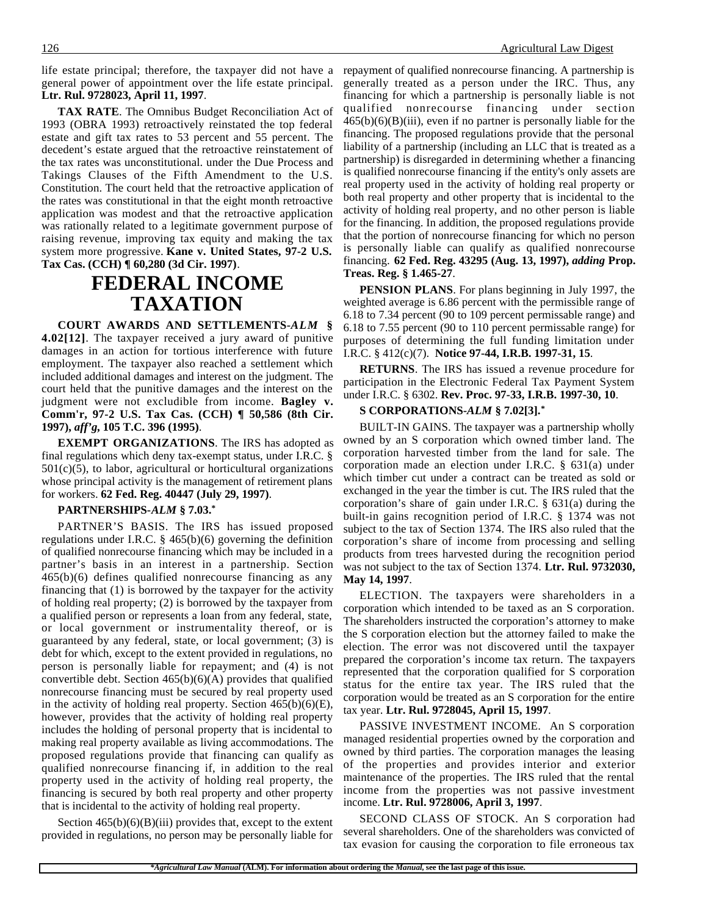general power of appointment over the life estate principal. **Ltr. Rul. 9728023, April 11, 1997**.

**TAX RATE**. The Omnibus Budget Reconciliation Act of 1993 (OBRA 1993) retroactively reinstated the top federal estate and gift tax rates to 53 percent and 55 percent. The decedent's estate argued that the retroactive reinstatement of the tax rates was unconstitutional. under the Due Process and Takings Clauses of the Fifth Amendment to the U.S. Constitution. The court held that the retroactive application of the rates was constitutional in that the eight month retroactive application was modest and that the retroactive application was rationally related to a legitimate government purpose of raising revenue, improving tax equity and making the tax system more progressive. **Kane v. United States, 97-2 U.S. Tax Cas. (CCH) ¶ 60,280 (3d Cir. 1997)**.

## **FEDERAL INCOME TAXATION**

**COURT AWARDS AND SETTLEMENTS-***ALM* **§ 4.02[12]**. The taxpayer received a jury award of punitive damages in an action for tortious interference with future employment. The taxpayer also reached a settlement which included additional damages and interest on the judgment. The court held that the punitive damages and the interest on the judgment were not excludible from income. **Bagley v. Comm'r, 97-2 U.S. Tax Cas. (CCH) ¶ 50,586 (8th Cir. 1997),** *aff'g***, 105 T.C. 396 (1995)**.

**EXEMPT ORGANIZATIONS**. The IRS has adopted as final regulations which deny tax-exempt status, under I.R.C. §  $501(c)(5)$ , to labor, agricultural or horticultural organizations whose principal activity is the management of retirement plans for workers. **62 Fed. Reg. 40447 (July 29, 1997)**.

#### **PARTNERSHIPS-***ALM* **§ 7.03.\***

PARTNER'S BASIS. The IRS has issued proposed regulations under I.R.C. § 465(b)(6) governing the definition of qualified nonrecourse financing which may be included in a partner's basis in an interest in a partnership. Section 465(b)(6) defines qualified nonrecourse financing as any financing that (1) is borrowed by the taxpayer for the activity of holding real property; (2) is borrowed by the taxpayer from a qualified person or represents a loan from any federal, state, or local government or instrumentality thereof, or is guaranteed by any federal, state, or local government; (3) is debt for which, except to the extent provided in regulations, no person is personally liable for repayment; and (4) is not convertible debt. Section  $465(b)(6)(A)$  provides that qualified nonrecourse financing must be secured by real property used in the activity of holding real property. Section  $465(b)(6)(E)$ , however, provides that the activity of holding real property includes the holding of personal property that is incidental to making real property available as living accommodations. The proposed regulations provide that financing can qualify as qualified nonrecourse financing if, in addition to the real property used in the activity of holding real property, the financing is secured by both real property and other property that is incidental to the activity of holding real property.

Section  $465(b)(6)(B)(iii)$  provides that, except to the extent provided in regulations, no person may be personally liable for

life estate principal; therefore, the taxpayer did not have a repayment of qualified nonrecourse financing. A partnership is generally treated as a person under the IRC. Thus, any financing for which a partnership is personally liable is not qualified nonrecourse financing under section  $465(b)(6)(B)(iii)$ , even if no partner is personally liable for the financing. The proposed regulations provide that the personal liability of a partnership (including an LLC that is treated as a partnership) is disregarded in determining whether a financing is qualified nonrecourse financing if the entity's only assets are real property used in the activity of holding real property or both real property and other property that is incidental to the activity of holding real property, and no other person is liable for the financing. In addition, the proposed regulations provide that the portion of nonrecourse financing for which no person is personally liable can qualify as qualified nonrecourse financing. **62 Fed. Reg. 43295 (Aug. 13, 1997),** *adding* **Prop. Treas. Reg. § 1.465-27**.

> **PENSION PLANS**. For plans beginning in July 1997, the weighted average is 6.86 percent with the permissible range of 6.18 to 7.34 percent (90 to 109 percent permissable range) and 6.18 to 7.55 percent (90 to 110 percent permissable range) for purposes of determining the full funding limitation under I.R.C. § 412(c)(7). **Notice 97-44, I.R.B. 1997-31, 15**.

> **RETURNS**. The IRS has issued a revenue procedure for participation in the Electronic Federal Tax Payment System under I.R.C. § 6302. **Rev. Proc. 97-33, I.R.B. 1997-30, 10**.

#### **S CORPORATIONS-***ALM* **§ 7.02[3].\***

BUILT-IN GAINS. The taxpayer was a partnership wholly owned by an S corporation which owned timber land. The corporation harvested timber from the land for sale. The corporation made an election under I.R.C. § 631(a) under which timber cut under a contract can be treated as sold or exchanged in the year the timber is cut. The IRS ruled that the corporation's share of gain under I.R.C. § 631(a) during the built-in gains recognition period of I.R.C. § 1374 was not subject to the tax of Section 1374. The IRS also ruled that the corporation's share of income from processing and selling products from trees harvested during the recognition period was not subject to the tax of Section 1374. **Ltr. Rul. 9732030, May 14, 1997**.

ELECTION. The taxpayers were shareholders in a corporation which intended to be taxed as an S corporation. The shareholders instructed the corporation's attorney to make the S corporation election but the attorney failed to make the election. The error was not discovered until the taxpayer prepared the corporation's income tax return. The taxpayers represented that the corporation qualified for S corporation status for the entire tax year. The IRS ruled that the corporation would be treated as an S corporation for the entire tax year. **Ltr. Rul. 9728045, April 15, 1997**.

PASSIVE INVESTMENT INCOME. An S corporation managed residential properties owned by the corporation and owned by third parties. The corporation manages the leasing of the properties and provides interior and exterior maintenance of the properties. The IRS ruled that the rental income from the properties was not passive investment income. **Ltr. Rul. 9728006, April 3, 1997**.

SECOND CLASS OF STOCK. An S corporation had several shareholders. One of the shareholders was convicted of tax evasion for causing the corporation to file erroneous tax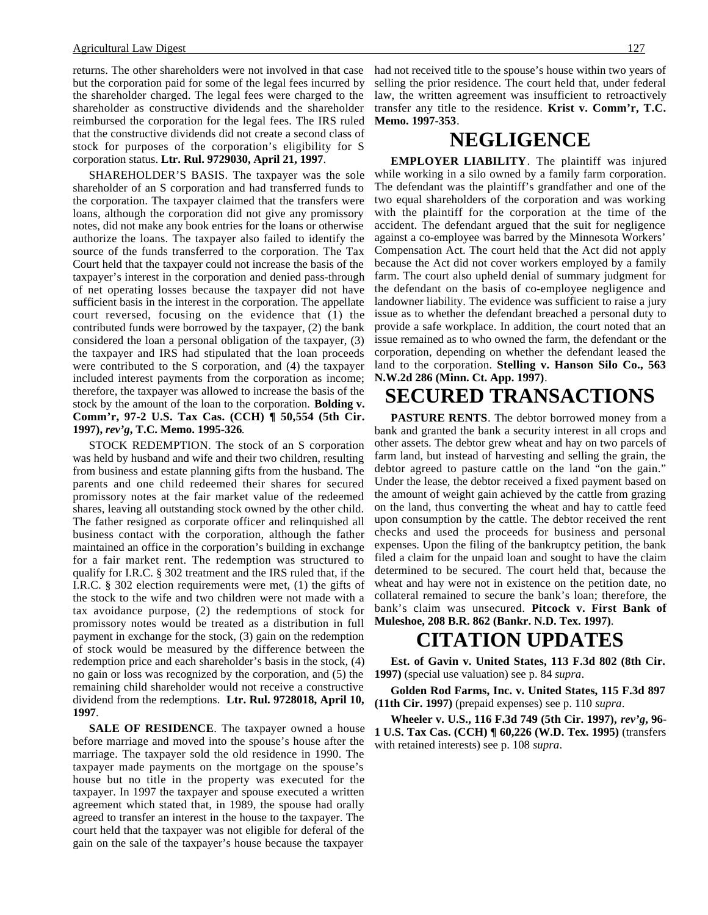#### Agricultural Law Digest 127

returns. The other shareholders were not involved in that case but the corporation paid for some of the legal fees incurred by the shareholder charged. The legal fees were charged to the shareholder as constructive dividends and the shareholder reimbursed the corporation for the legal fees. The IRS ruled that the constructive dividends did not create a second class of stock for purposes of the corporation's eligibility for S corporation status. **Ltr. Rul. 9729030, April 21, 1997**.

SHAREHOLDER'S BASIS. The taxpayer was the sole shareholder of an S corporation and had transferred funds to the corporation. The taxpayer claimed that the transfers were loans, although the corporation did not give any promissory notes, did not make any book entries for the loans or otherwise authorize the loans. The taxpayer also failed to identify the source of the funds transferred to the corporation. The Tax Court held that the taxpayer could not increase the basis of the taxpayer's interest in the corporation and denied pass-through of net operating losses because the taxpayer did not have sufficient basis in the interest in the corporation. The appellate court reversed, focusing on the evidence that (1) the contributed funds were borrowed by the taxpayer, (2) the bank considered the loan a personal obligation of the taxpayer, (3) the taxpayer and IRS had stipulated that the loan proceeds were contributed to the S corporation, and (4) the taxpayer included interest payments from the corporation as income; therefore, the taxpayer was allowed to increase the basis of the stock by the amount of the loan to the corporation. **Bolding v. Comm'r, 97-2 U.S. Tax Cas. (CCH) ¶ 50,554 (5th Cir. 1997),** *rev'g***, T.C. Memo. 1995-326**.

STOCK REDEMPTION. The stock of an S corporation was held by husband and wife and their two children, resulting from business and estate planning gifts from the husband. The parents and one child redeemed their shares for secured promissory notes at the fair market value of the redeemed shares, leaving all outstanding stock owned by the other child. The father resigned as corporate officer and relinquished all business contact with the corporation, although the father maintained an office in the corporation's building in exchange for a fair market rent. The redemption was structured to qualify for I.R.C. § 302 treatment and the IRS ruled that, if the I.R.C. § 302 election requirements were met, (1) the gifts of the stock to the wife and two children were not made with a tax avoidance purpose, (2) the redemptions of stock for promissory notes would be treated as a distribution in full payment in exchange for the stock, (3) gain on the redemption of stock would be measured by the difference between the redemption price and each shareholder's basis in the stock, (4) no gain or loss was recognized by the corporation, and (5) the remaining child shareholder would not receive a constructive dividend from the redemptions. **Ltr. Rul. 9728018, April 10, 1997**.

**SALE OF RESIDENCE**. The taxpayer owned a house before marriage and moved into the spouse's house after the marriage. The taxpayer sold the old residence in 1990. The taxpayer made payments on the mortgage on the spouse's house but no title in the property was executed for the taxpayer. In 1997 the taxpayer and spouse executed a written agreement which stated that, in 1989, the spouse had orally agreed to transfer an interest in the house to the taxpayer. The court held that the taxpayer was not eligible for deferal of the gain on the sale of the taxpayer's house because the taxpayer

had not received title to the spouse's house within two years of selling the prior residence. The court held that, under federal law, the written agreement was insufficient to retroactively transfer any title to the residence. **Krist v. Comm'r, T.C. Memo. 1997-353**.

### **NEGLIGENCE**

**EMPLOYER LIABILITY**. The plaintiff was injured while working in a silo owned by a family farm corporation. The defendant was the plaintiff's grandfather and one of the two equal shareholders of the corporation and was working with the plaintiff for the corporation at the time of the accident. The defendant argued that the suit for negligence against a co-employee was barred by the Minnesota Workers' Compensation Act. The court held that the Act did not apply because the Act did not cover workers employed by a family farm. The court also upheld denial of summary judgment for the defendant on the basis of co-employee negligence and landowner liability. The evidence was sufficient to raise a jury issue as to whether the defendant breached a personal duty to provide a safe workplace. In addition, the court noted that an issue remained as to who owned the farm, the defendant or the corporation, depending on whether the defendant leased the land to the corporation. **Stelling v. Hanson Silo Co., 563 N.W.2d 286 (Minn. Ct. App. 1997)**.

## **SECURED TRANSACTIONS**

**PASTURE RENTS**. The debtor borrowed money from a bank and granted the bank a security interest in all crops and other assets. The debtor grew wheat and hay on two parcels of farm land, but instead of harvesting and selling the grain, the debtor agreed to pasture cattle on the land "on the gain." Under the lease, the debtor received a fixed payment based on the amount of weight gain achieved by the cattle from grazing on the land, thus converting the wheat and hay to cattle feed upon consumption by the cattle. The debtor received the rent checks and used the proceeds for business and personal expenses. Upon the filing of the bankruptcy petition, the bank filed a claim for the unpaid loan and sought to have the claim determined to be secured. The court held that, because the wheat and hay were not in existence on the petition date, no collateral remained to secure the bank's loan; therefore, the bank's claim was unsecured. **Pitcock v. First Bank of Muleshoe, 208 B.R. 862 (Bankr. N.D. Tex. 1997)**.

## **CITATION UPDATES**

**Est. of Gavin v. United States, 113 F.3d 802 (8th Cir. 1997)** (special use valuation) see p. 84 *supra*.

**Golden Rod Farms, Inc. v. United States, 115 F.3d 897 (11th Cir. 1997)** (prepaid expenses) see p. 110 *supra*.

**Wheeler v. U.S., 116 F.3d 749 (5th Cir. 1997),** *rev'g***, 96- 1 U.S. Tax Cas. (CCH) ¶ 60,226 (W.D. Tex. 1995)** (transfers with retained interests) see p. 108 *supra*.